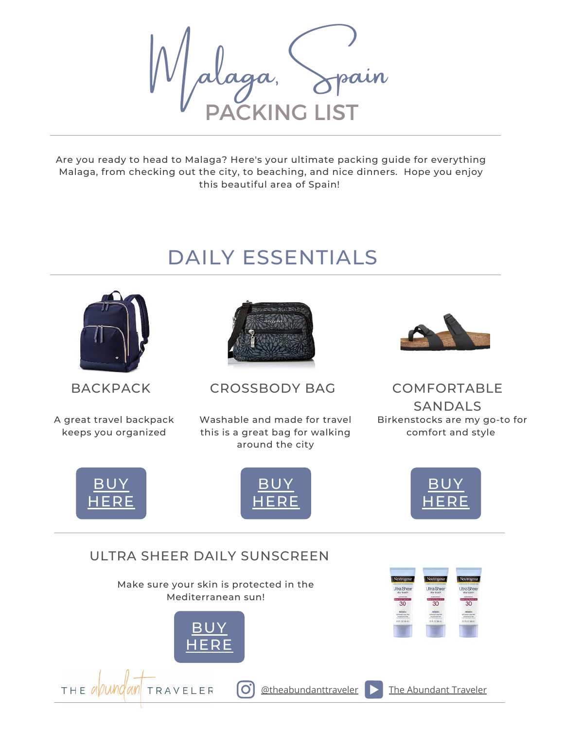**CKING L** Malaga, Spain

Are you ready to head to Malaga? Here's your ultimate packing guide for everything Malaga, from checking out the city, to beaching, and nice dinners. Hope you enjoy this beautiful area of Spain!

# DAILY ESSENTIALS



A great travel backpack keeps you organized



BACKPACK CROSSBODY BAG COMFORTABLE

Washable and made for travel this is a great bag for walking around the city



SANDALS Birkenstocks are my go-to for comfort and style



 $THE$  all und an



**J[UNE 28, 2020](https://theabundanttraveler.com/) MORRIS FAMILY AND LOCAL TRAVEL 28, 2020** 

 $\mathbf{O}$ 



#### ULTRA SHEER DAILY SUNSCREEN

Make sure your skin is protected in the Mediterranean sun!



TRAVELER



 $\boxed{\text{otheabundanttraveler}}$  [The Abundant Traveler](https://www.youtube.com/channel/UCH-u_k-LZ2TeX2KwydzeRKw)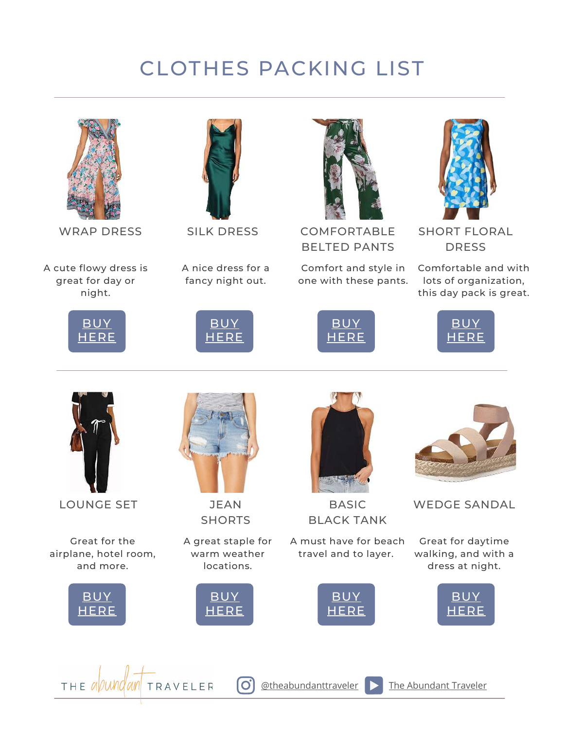# CLOTHES PACKING LIST



WRAP DRESS

A cute flowy dress is great for day or night.





SILK DRESS

A nice dress for a fancy night out.

[BUY](https://amzn.to/3xKEODJ) [HERE](https://amzn.to/3xKEODJ)



COMFORTABLE BELTED PANTS

Comfort and style in one with these pants.





SHORT FLORAL **DRESS** 

Comfortable and with lots of organization, this day pack is great.





LOUNGE SET

Great for the airplane, hotel room, and more.





JEAN **SHORTS** 

A great staple for warm weather locations.

> [BUY](https://amzn.to/3EiudlX) **[HERE](https://amzn.to/3EiudlX)**

> > $\overline{O}$



BASIC BLACK TANK

A must have for beach travel and to layer.

> [BUY](https://amzn.to/3ofuTCN) [HERE](https://amzn.to/3ofuTCN)



Great for daytime walking, and with a dress at night.

WEDGE SANDAL





 $\boxed{\text{otheabundanttraveler}}$  [The Abundant Traveler](https://www.youtube.com/channel/UCH-u_k-LZ2TeX2KwydzeRKw)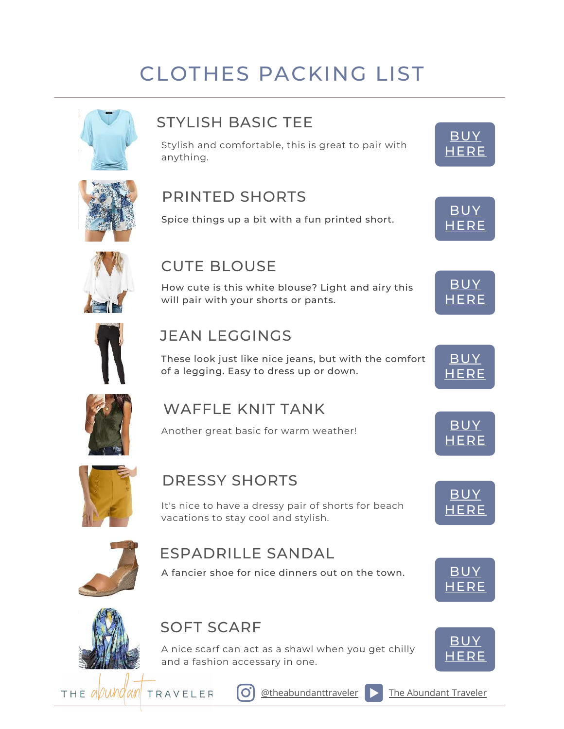# CLOTHES PACKING LIST



## STYLISH BASIC TEE

Stylish and comfortable, this is great to pair with anything.





#### PRINTED SHORTS

Spice things up a bit with a fun printed short.



**[BUY](https://amzn.to/3lv50xc)** [HERE](https://amzn.to/3lv50xc)



## CUTE BLOUSE

How cute is this white blouse? Light and airy this will pair with your shorts or pants.



#### JEAN LEGGINGS

These look just like nice jeans, but with the comfort of a legging. Easy to dress up or down.



## WAFFLE KNIT TANK

Another great basic for warm weather!



## DRESSY SHORTS

It's nice to have a dressy pair of shorts for beach vacations to stay cool and stylish.



## ESPADRILLE SANDAL

A fancier shoe for nice dinners out on the town. [BUY](https://amzn.to/3IeHr5m)





## SOFT SCARF

A nice scarf can act as a shawl when you get chilly and a fashion accessary in one.















[BUY](https://amzn.to/3rDeCJY) [HERE](https://amzn.to/3rDeCJY)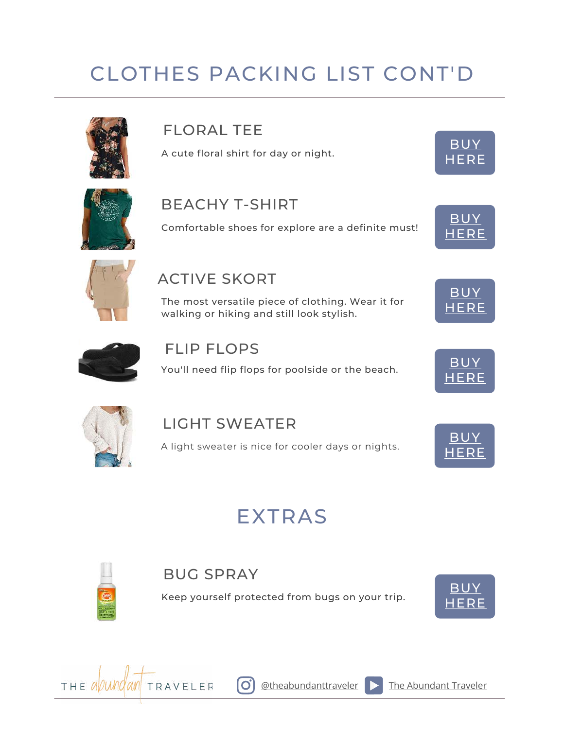# CLOTHES PACKING LIST CONT'D



## FLORAL TEE

A cute floral shirt for day or night.



#### BEACHY T-SHIRT

Comfortable shoes for explore are a definite must!



[HERE](http://b08ymmknk5/)

[BUY](https://amzn.to/2ZOaATH) HERI

[BUY](https://amzn.to/3da5MLD) [HERE](https://amzn.to/3da5MLD)



#### ACTIVE SKORT

The most versatile piece of clothing. Wear it for walking or hiking and still look stylish.



#### FLIP FLOPS

You'll need flip flops for poolside or the beach. [BUY](https://amzn.to/2ZLw1Vo)



# LIGHT SWEATER

A light sweater is nice for cooler days or nights.



**[HERE](https://amzn.to/2ZLw1Vo)** 

# EXTRAS



#### BUG SPRAY

Keep yourself protected from bugs on your trip.